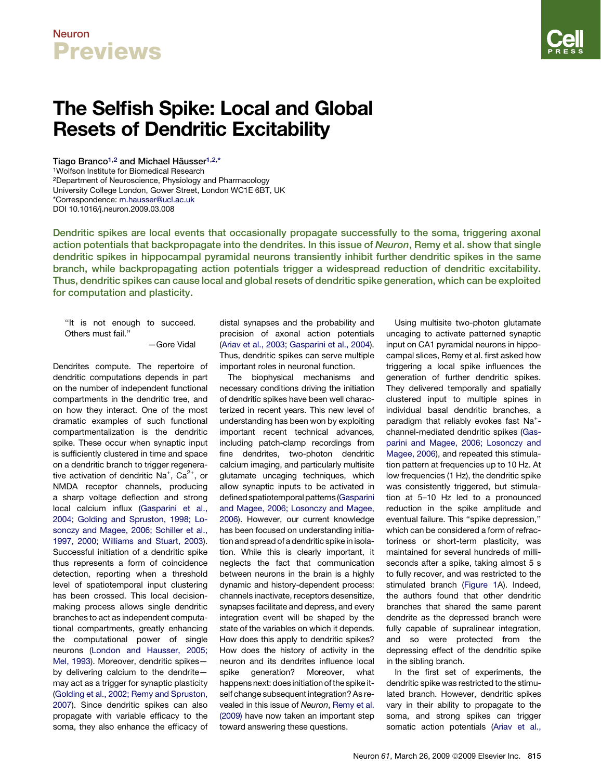### Neuron **Previews**

# The Selfish Spike: Local and Global Resets of Dendritic Excitability

Tiago Branco<sup>1,2</sup> and Michael Häusser<sup>1,2,\*</sup> 1Wolfson Institute for Biomedical Research 2Department of Neuroscience, Physiology and Pharmacology University College London, Gower Street, London WC1E 6BT, UK \*Correspondence: m.hausser@ucl.ac.uk DOI 10.1016/j.neuron.2009.03.008

Dendritic spikes are local events that occasionally propagate successfully to the soma, triggering axonal action potentials that backpropagate into the dendrites. In this issue of Neuron, Remy et al. show that single dendritic spikes in hippocampal pyramidal neurons transiently inhibit further dendritic spikes in the same branch, while backpropagating action potentials trigger a widespread reduction of dendritic excitability. Thus, dendritic spikes can cause local and global resets of dendritic spike generation, which can be exploited for computation and plasticity.

''It is not enough to succeed. Others must fail.''

—Gore Vidal

Dendrites compute. The repertoire of dendritic computations depends in part on the number of independent functional compartments in the dendritic tree, and on how they interact. One of the most dramatic examples of such functional compartmentalization is the dendritic spike. These occur when synaptic input is sufficiently clustered in time and space on a dendritic branch to trigger regenerative activation of dendritic Na<sup>+</sup>, Ca<sup>2+</sup>, or NMDA receptor channels, producing a sharp voltage deflection and strong local calcium influx [\(Gasparini et al.,](#page-2-0) [2004; Golding and Spruston, 1998; Lo](#page-2-0)[sonczy and Magee, 2006; Schiller et al.,](#page-2-0) [1997, 2000; Williams and Stuart, 2003\)](#page-2-0). Successful initiation of a dendritic spike thus represents a form of coincidence detection, reporting when a threshold level of spatiotemporal input clustering has been crossed. This local decisionmaking process allows single dendritic branches to act as independent computational compartments, greatly enhancing the computational power of single neurons [\(London and Hausser, 2005;](#page-2-0) [Mel, 1993\)](#page-2-0). Moreover, dendritic spikes by delivering calcium to the dendrite may act as a trigger for synaptic plasticity [\(Golding et al., 2002; Remy and Spruston,](#page-2-0) [2007\)](#page-2-0). Since dendritic spikes can also propagate with variable efficacy to the soma, they also enhance the efficacy of

distal synapses and the probability and precision of axonal action potentials ([Ariav et al., 2003; Gasparini et al., 2004](#page-2-0)). Thus, dendritic spikes can serve multiple important roles in neuronal function.

The biophysical mechanisms and necessary conditions driving the initiation of dendritic spikes have been well characterized in recent years. This new level of understanding has been won by exploiting important recent technical advances, including patch-clamp recordings from fine dendrites, two-photon dendritic calcium imaging, and particularly multisite glutamate uncaging techniques, which allow synaptic inputs to be activated in defined spatiotemporal patterns [\(Gasparini](#page-2-0) [and Magee, 2006; Losonczy and Magee,](#page-2-0) [2006\)](#page-2-0). However, our current knowledge has been focused on understanding initiation and spread of a dendritic spike in isolation. While this is clearly important, it neglects the fact that communication between neurons in the brain is a highly dynamic and history-dependent process: channels inactivate, receptors desensitize, synapses facilitate and depress, and every integration event will be shaped by the state of the variables on which it depends. How does this apply to dendritic spikes? How does the history of activity in the neuron and its dendrites influence local spike generation? Moreover, what happens next: does initiation of the spike itself change subsequent integration? As revealed in this issue of *Neuron*, [Remy et al.](#page-2-0) [\(2009\)](#page-2-0) have now taken an important step toward answering these questions.

Using multisite two-photon glutamate uncaging to activate patterned synaptic input on CA1 pyramidal neurons in hippocampal slices, Remy et al. first asked how triggering a local spike influences the generation of further dendritic spikes. They delivered temporally and spatially clustered input to multiple spines in individual basal dendritic branches, a paradigm that reliably evokes fast Na<sup>+</sup>channel-mediated dendritic spikes ([Gas](#page-2-0)[parini and Magee, 2006; Losonczy and](#page-2-0) [Magee, 2006](#page-2-0)), and repeated this stimulation pattern at frequencies up to 10 Hz. At low frequencies (1 Hz), the dendritic spike was consistently triggered, but stimulation at 5–10 Hz led to a pronounced reduction in the spike amplitude and eventual failure. This ''spike depression,'' which can be considered a form of refractoriness or short-term plasticity, was maintained for several hundreds of milliseconds after a spike, taking almost 5 s to fully recover, and was restricted to the stimulated branch [\(Figure 1A](#page-1-0)). Indeed, the authors found that other dendritic branches that shared the same parent dendrite as the depressed branch were fully capable of supralinear integration, and so were protected from the depressing effect of the dendritic spike in the sibling branch.

In the first set of experiments, the dendritic spike was restricted to the stimulated branch. However, dendritic spikes vary in their ability to propagate to the soma, and strong spikes can trigger somatic action potentials [\(Ariav et al.,](#page-2-0)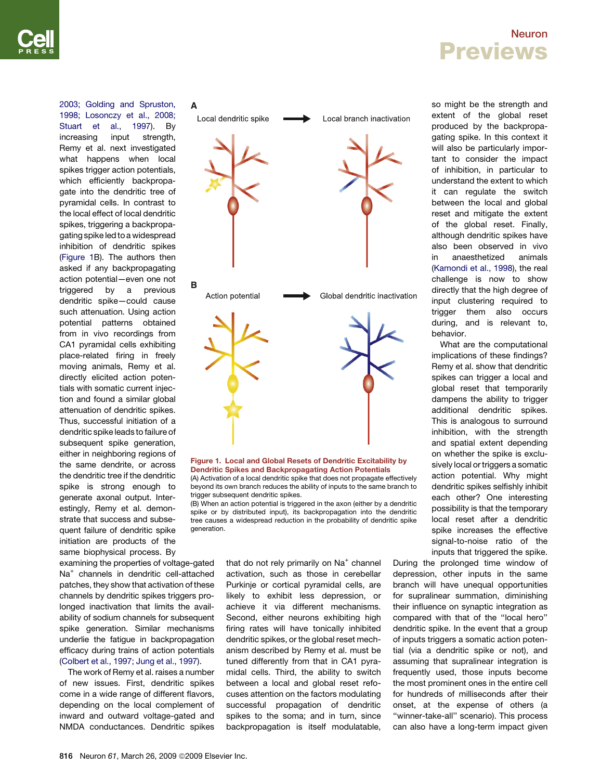#### Neuron Previews

[1998; Losonczy et al., 2008;](#page-2-0) [Stuart et al., 1997](#page-2-0)). By increasing input strength, Remy et al. next investigated what happens when local spikes trigger action potentials, which efficiently backpropagate into the dendritic tree of pyramidal cells. In contrast to the local effect of local dendritic spikes, triggering a backpropagating spike led to a widespread inhibition of dendritic spikes (Figure 1B). The authors then asked if any backpropagating action potential—even one not triggered by a previous dendritic spike—could cause such attenuation. Using action potential patterns obtained from in vivo recordings from CA1 pyramidal cells exhibiting place-related firing in freely moving animals, Remy et al. directly elicited action potentials with somatic current injection and found a similar global attenuation of dendritic spikes. Thus, successful initiation of a dendritic spike leads to failure of subsequent spike generation, either in neighboring regions of the same dendrite, or across the dendritic tree if the dendritic spike is strong enough to generate axonal output. Interestingly, Remy et al. demonstrate that success and subsequent failure of dendritic spike initiation are products of the same biophysical process. By

examining the properties of voltage-gated Na+ channels in dendritic cell-attached patches, they show that activation of these channels by dendritic spikes triggers prolonged inactivation that limits the availability of sodium channels for subsequent spike generation. Similar mechanisms underlie the fatigue in backpropagation efficacy during trains of action potentials ([Colbert et al., 1997; Jung et al., 1997](#page-2-0)).

The work of Remy et al. raises a number of new issues. First, dendritic spikes come in a wide range of different flavors, depending on the local complement of inward and outward voltage-gated and NMDA conductances. Dendritic spikes

<span id="page-1-0"></span>

Figure 1. Local and Global Resets of Dendritic Excitability by Dendritic Spikes and Backpropagating Action Potentials (A) Activation of a local dendritic spike that does not propagate effectively beyond its own branch reduces the ability of inputs to the same branch to trigger subsequent dendritic spikes.

(B) When an action potential is triggered in the axon (either by a dendritic spike or by distributed input), its backpropagation into the dendritic tree causes a widespread reduction in the probability of dendritic spike generation.

> that do not rely primarily on Na<sup>+</sup> channel activation, such as those in cerebellar Purkinje or cortical pyramidal cells, are likely to exhibit less depression, or achieve it via different mechanisms. Second, either neurons exhibiting high firing rates will have tonically inhibited dendritic spikes, or the global reset mechanism described by Remy et al. must be tuned differently from that in CA1 pyramidal cells. Third, the ability to switch between a local and global reset refocuses attention on the factors modulating successful propagation of dendritic spikes to the soma; and in turn, since backpropagation is itself modulatable,

so might be the strength and extent of the global reset produced by the backpropagating spike. In this context it will also be particularly important to consider the impact of inhibition, in particular to understand the extent to which it can regulate the switch between the local and global reset and mitigate the extent of the global reset. Finally, although dendritic spikes have also been observed in vivo in anaesthetized animals ([Kamondi et al., 1998](#page-2-0)), the real challenge is now to show directly that the high degree of input clustering required to trigger them also occurs during, and is relevant to, behavior.

What are the computational implications of these findings? Remy et al. show that dendritic spikes can trigger a local and global reset that temporarily dampens the ability to trigger additional dendritic spikes. This is analogous to surround inhibition, with the strength and spatial extent depending on whether the spike is exclusively local or triggers a somatic action potential. Why might dendritic spikes selfishly inhibit each other? One interesting possibility is that the temporary local reset after a dendritic spike increases the effective signal-to-noise ratio of the inputs that triggered the spike.

During the prolonged time window of depression, other inputs in the same branch will have unequal opportunities for supralinear summation, diminishing their influence on synaptic integration as compared with that of the ''local hero'' dendritic spike. In the event that a group of inputs triggers a somatic action potential (via a dendritic spike or not), and assuming that supralinear integration is frequently used, those inputs become the most prominent ones in the entire cell for hundreds of milliseconds after their onset, at the expense of others (a ''winner-take-all'' scenario). This process can also have a long-term impact given